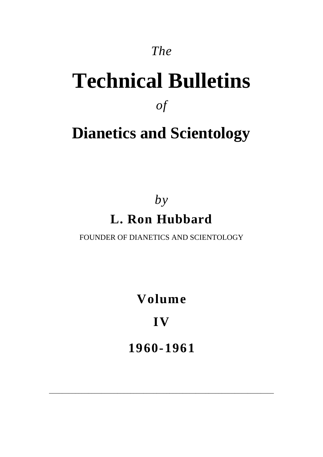### *The*

# **Technical Bulletins**

*of*

# **Dianetics and Scientology**

## *by* **L. Ron Hubbard**

FOUNDER OF DIANETICS AND SCIENTOLOGY

**Volume**

**IV**

**1960-1961**

\_\_\_\_\_\_\_\_\_\_\_\_\_\_\_\_\_\_\_\_\_\_\_\_\_\_\_\_\_\_\_\_\_\_\_\_\_\_\_\_\_\_\_\_\_\_\_\_\_\_\_\_\_\_\_\_\_\_\_\_\_\_\_\_\_\_\_\_\_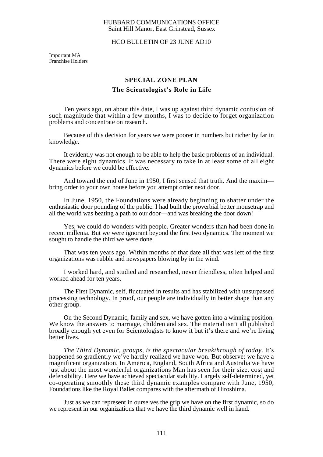#### HUBBARD COMMUNICATIONS OFFICE Saint Hill Manor, East Grinstead, Sussex

#### HCO BULLETIN OF 23 JUNE AD10

Important MA Franchise Holders

#### **SPECIAL ZONE PLAN The Scientologist's Role in Life**

Ten years ago, on about this date, I was up against third dynamic confusion of such magnitude that within a few months, I was to decide to forget organization problems and concentrate on research.

Because of this decision for years we were poorer in numbers but richer by far in knowledge.

It evidently was not enough to be able to help the basic problems of an individual. There were eight dynamics. It was necessary to take in at least some of all eight dynamics before we could be effective.

And toward the end of June in 1950, I first sensed that truth. And the maxim bring order to your own house before you attempt order next door.

In June, 1950, the Foundations were already beginning to shatter under the enthusiastic door pounding of the public. I had built the proverbial better mousetrap and all the world was beating a path to our door—and was breaking the door down!

Yes, we could do wonders with people. Greater wonders than had been done in recent millenia. But we were ignorant beyond the first two dynamics. The moment we sought to handle the third we were done.

That was ten years ago. Within months of that date all that was left of the first organizations was rubble and newspapers blowing by in the wind.

I worked hard, and studied and researched, never friendless, often helped and worked ahead for ten years.

The First Dynamic, self, fluctuated in results and has stabilized with unsurpassed processing technology. In proof, our people are individually in better shape than any other group.

On the Second Dynamic, family and sex, we have gotten into a winning position. We know the answers to marriage, children and sex. The material isn't all published broadly enough yet even for Scientologists to know it but it's there and we're living better lives.

*The Third Dynamic, groups, is the spectacular breakthrough of today.* It's happened so gradiently we've hardly realized we have won. But observe: we have a magnificent organization. In America, England, South Africa and Australia we have just about the most wonderful organizations Man has seen for their size, cost and defensibility. Here we have achieved spectacular stability. Largely self-determined, yet co-operating smoothly these third dynamic examples compare with June, 1950, Foundations like the Royal Ballet compares with the aftermath of Hiroshima.

Just as we can represent in ourselves the grip we have on the first dynamic, so do we represent in our organizations that we have the third dynamic well in hand.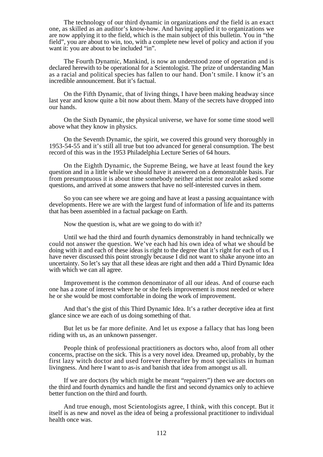The technology of our third dynamic in organizations *and* the field is an exact one, as skilled as an auditor's know-how. And having applied it to organizations we are now applying it to the field, which is the main subject of this bulletin. You in "the field", you are about to win, too, with a complete new level of policy and action if you want it: you are about to be included "in".

The Fourth Dynamic, Mankind, is now an understood zone of operation and is declared herewith to be operational for a Scientologist. The prize of understanding Man as a racial and political species has fallen to our hand. Don't smile. I know it's an incredible announcement. But it's factual.

On the Fifth Dynamic, that of living things, I have been making headway since last year and know quite a bit now about them. Many of the secrets have dropped into our hands.

On the Sixth Dynamic, the physical universe, we have for some time stood well above what they know in physics.

On the Seventh Dynamic, the spirit, we covered this ground very thoroughly in 1953-54-55 and it's still all true but too advanced for general consumption. The best record of this was in the 1953 Philadelphia Lecture Series of 64 hours.

On the Eighth Dynamic, the Supreme Being, we have at least found the key question and in a little while we should have it answered on a demonstrable basis. Far from presumptuous it is about time somebody neither atheist nor zealot asked some questions, and arrived at some answers that have no self-interested curves in them.

So you can see where we are going and have at least a passing acquaintance with developments. Here we are with the largest fund of information of life and its patterns that has been assembled in a factual package on Earth.

Now the question is, what are we going to do with it?

Until we had the third and fourth dynamics demonstrably in hand technically we could not answer the question. We've each had his own idea of what we should be doing with it and each of these ideas is right to the degree that it's right for each of us. I have never discussed this point strongly because I did not want to shake anyone into an uncertainty. So let's say that all these ideas are right and then add a Third Dynamic Idea with which we can all agree.

Improvement is the common denominator of all our ideas. And of course each one has a zone of interest where he or she feels improvement is most needed or where he or she would be most comfortable in doing the work of improvement.

And that's the gist of this Third Dynamic Idea. It's a rather deceptive idea at first glance since we are each of us doing something of that.

But let us be far more definite. And let us expose a fallacy that has long been riding with us, as an unknown passenger.

People think of professional practitioners as doctors who, aloof from all other concerns, practise on the sick. This is a very novel idea. Dreamed up, probably, by the first lazy witch doctor and used forever thereafter by most specialists in human livingness. And here I want to as-is and banish that idea from amongst us all.

If we are doctors (by which might be meant "repairers") then we are doctors on the third and fourth dynamics and handle the first and second dynamics only to achieve better function on the third and fourth.

And true enough, most Scientologists agree, I think, with this concept. But it itself is as new and novel as the idea of being a professional practitioner to individual health once was.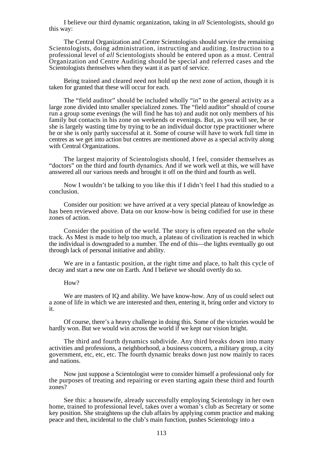I believe our third dynamic organization, taking in *all* Scientologists, should go this way:

The Central Organization and Centre Scientologists should service the remaining Scientologists, doing administration, instructing and auditing. Instruction to a professional level of *all* Scientologists should be entered upon as a must. Central Organization and Centre Auditing should be special and referred cases and the Scientologists themselves when they want it as part of service.

Being trained and cleared need not hold up the next zone of action, though it is taken for granted that these will occur for each.

The "field auditor" should be included wholly "in" to the general activity as a large zone divided into smaller specialized zones. The "field auditor" should of course run a group some evenings (he will find he has to) and audit not only members of his family but contacts in his zone on weekends or evenings. But, as you will see, he or she is largely wasting time by trying to be an individual doctor type practitioner where he or she is only partly successful at it. Some of course will have to work full time in centres as we get into action but centres are mentioned above as a special activity along with Central Organizations.

The largest majority of Scientologists should, I feel, consider themselves as "doctors" on the third and fourth dynamics. And if we work well at this, we will have answered all our various needs and brought it off on the third and fourth as well.

Now I wouldn't be talking to you like this if I didn't feel I had this studied to a conclusion.

Consider our position: we have arrived at a very special plateau of knowledge as has been reviewed above. Data on our know-how is being codified for use in these zones of action.

Consider the position of the world. The story is often repeated on the whole track. As Mest is made to help too much, a plateau of civilization is reached in which the individual is downgraded to a number. The end of this—the lights eventually go out through lack of personal initiative and ability.

We are in a fantastic position, at the right time and place, to halt this cycle of decay and start a new one on Earth. And I believe we should overtly do so.

#### How?

We are masters of IQ and ability. We have know-how. Any of us could select out a zone of life in which we are interested and then, entering it, bring order and victory to it.

Of course, there's a heavy challenge in doing this. Some of the victories would be hardly won. But we would win across the world if we kept our vision bright.

The third and fourth dynamics subdivide. Any third breaks down into many activities and professions, a neighborhood, a business concern, a military group, a city government, etc, etc, etc. The fourth dynamic breaks down just now mainly to races and nations.

Now just suppose a Scientologist were to consider himself a professional only for the purposes of treating and repairing or even starting again these third and fourth zones?

See this: a housewife, already successfully employing Scientology in her own home, trained to professional level, takes over a woman's club as Secretary or some key position. She straightens up the club affairs by applying comm practice and making peace and then, incidental to the club's main function, pushes Scientology into a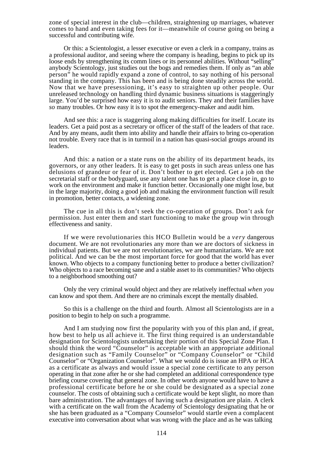zone of special interest in the club—children, straightening up marriages, whatever comes to hand and even taking fees for it—meanwhile of course going on being a successful and contributing wife.

Or this: a Scientologist, a lesser executive or even a clerk in a company, trains as a professional auditor, and seeing where the company is heading, begins to pick up its loose ends by strengthening its comm lines or its personnel abilities. Without "selling" anybody Scientology, just studies out the bogs and remedies them. If only as "an able person" he would rapidly expand a zone of control, to say nothing of his personal standing in the company. This has been and is being done steadily across the world. Now that we have presessioning, it's easy to straighten up other people. Our unreleased technology on handling third dynamic business situations is staggeringly large. You'd be surprised how easy it is to audit seniors. They and their families have *so* many troubles. Or how easy it is to spot the emergency-maker and audit him.

And see this: a race is staggering along making difficulties for itself. Locate its leaders. Get a paid post as a secretary or officer of the staff of the leaders of that race. And by any means, audit them into ability and handle their affairs to bring co-operation not trouble. Every race that is in turmoil in a nation has quasi-social groups around its leaders.

And this: a nation or a state runs on the ability of its department heads, its governors, or any other leaders. It is easy to get posts in such areas unless one has delusions of grandeur or fear of it. Don't bother to get elected. Get a job on the secretarial staff or the bodyguard, use any talent one has to get a place close in, go to work on the environment and make it function better. Occasionally one might lose, but in the large majority, doing a good job and making the environment function will result in promotion, better contacts, a widening zone.

The cue in all this is don't seek the co-operation of groups. Don't ask for permission. Just enter them and start functioning to make the group win through effectiveness and sanity.

If we were revolutionaries this HCO Bulletin would be a *very* dangerous document. We are not revolutionaries any more than we are doctors of sickness in individual patients. But we are not revolutionaries, we are humanitarians. We are not political. And we can be the most important force for good that the world has ever known. Who objects to a company functioning better to produce a better civilization? Who objects to a race becoming sane and a stable asset to its communities? Who objects to a neighborhood smoothing out?

Only the very criminal would object and they are relatively ineffectual *when you* can know and spot them. And there are no criminals except the mentally disabled.

So this is a challenge on the third and fourth. Almost all Scientologists are in a position to begin to help on such a programme.

And I am studying now first the popularity with you of this plan and, if great, how best to help us all achieve it. The first thing required is an understandable designation for Scientologists undertaking their portion of this Special Zone Plan. I should think the word "Counselor" is acceptable with an appropriate additional designation such as "Family Counselor" or "Company Counselor" or "Child Counselor" or "Organization Counselor". What we would do is issue an HPA or HCA as a certificate as always and would issue a special zone certificate to any person operating in that zone after he or she had completed an additional correspondence type briefing course covering that general zone. In other words anyone would have to have a professional certificate before he or she could be designated as a special zone counselor. The costs of obtaining such a certificate would be kept slight, no more than bare administration. The advantages of having such a designation are plain. A clerk with a certificate on the wall from the Academy of Scientology designating that he or she has been graduated as a "Company Counselor" would startle even a complacent executive into conversation about what was wrong with the place and as he was talking